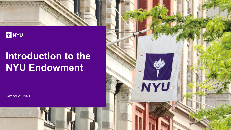

# **FINYU**

# **Introduction to the NYU Endowment**

NYU

October 26, 2021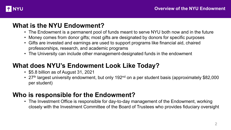

### **What is the NYU Endowment?**

- The Endowment is a permanent pool of funds meant to serve NYU both now and in the future
- Money comes from donor gifts; most gifts are designated by donors for specific purposes
- Gifts are invested and earnings are used to support programs like financial aid, chaired professorships, research, and academic programs
- The University can include other management-designated funds in the endowment

# **What does NYU's Endowment Look Like Today?**

- \$5.8 billion as of August 31, 2021
- 27<sup>th</sup> largest university endowment, but only 192<sup>nd</sup> on a per student basis (approximately \$82,000 per student)

# **Who is responsible for the Endowment?**

• The Investment Office is responsible for day-to-day management of the Endowment, working closely with the Investment Committee of the Board of Trustees who provides fiduciary oversight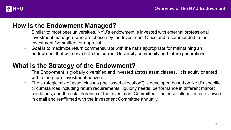

#### **How is the Endowment Managed?**

- Similar to most peer universities, NYU's endowment is invested with external professional investment managers who are chosen by the Investment Office and recommended to the Investment Committee for approval
- Goal is to maximize return commensurate with the risks appropriate for maintaining an endowment that will serve both the current University community and future generations

#### **What is the Strategy of the Endowment?**

- The Endowment is globally diversified and invested across asset classes. It is equity oriented with a long-term investment horizon
- The strategic mix of asset classes (the "asset allocation") is developed based on NYU's specific circumstances including return requirements, liquidity needs, performance in different market conditions, and the risk tolerance of the Investment Committee. The asset allocation is reviewed in detail and reaffirmed with the Investment Committee annually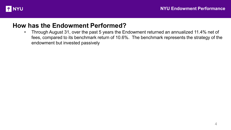

#### **How has the Endowment Performed?**

• Through August 31, over the past 5 years the Endowment returned an annualized 11.4% net of fees, compared to its benchmark return of 10.6%. The benchmark represents the strategy of the endowment but invested passively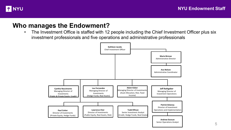

#### **Who manages the Endowment?**

• The Investment Office is staffed with 12 people including the Chief Investment Officer plus six investment professionals and five operations and administrative professionals

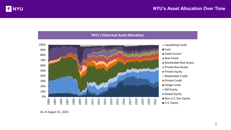



As of August 31, 2021.